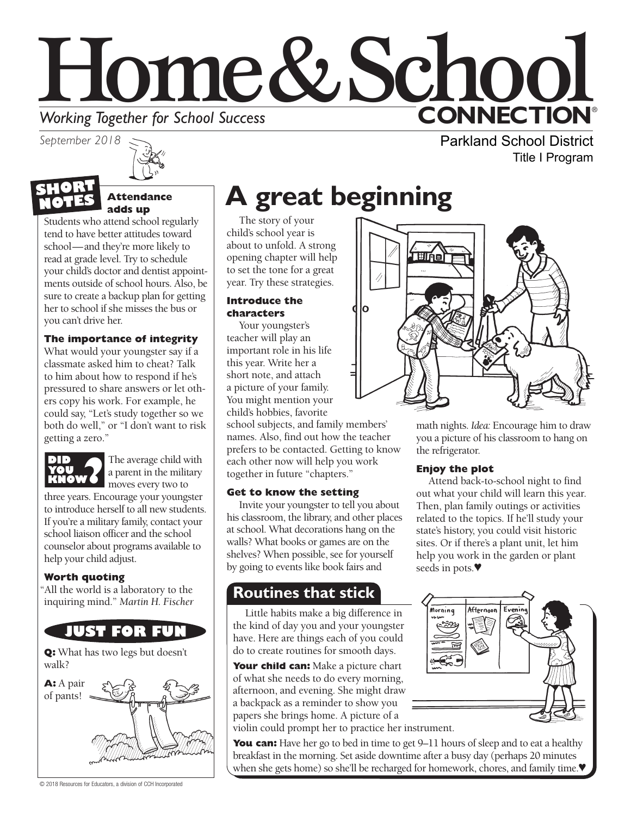# Home&School **CONNECTION® Working Together for School Success**<br>September 2018

*September 2018*

#### **Attendance adds up NOTES**

Students who attend school regularly tend to have better attitudes toward school—and they're more likely to read at grade level. Try to schedule your child's doctor and dentist appointments outside of school hours. Also, be sure to create a backup plan for getting her to school if she misses the bus or you can't drive her.

#### **The importance of integrity**

What would your youngster say if a classmate asked him to cheat? Talk to him about how to respond if he's pressured to share answers or let others copy his work. For example, he could say, "Let's study together so we both do well," or "I don't want to risk getting a zero."



The average child with a parent in the military moves every two to

three years. Encourage your youngster to introduce herself to all new students. If you're a military family, contact your school liaison officer and the school counselor about programs available to help your child adjust.

#### **Worth quoting**

"All the world is a laboratory to the inquiring mind." *Martin H. Fischer*



**Q:** What has two legs but doesn't walk?



© 2018 Resources for Educators, a division of CCH Incorporated

# **A great beginning**

The story of your child's school year is about to unfold. A strong opening chapter will help to set the tone for a great year. Try these strategies.

#### **Introduce the characters**

Your youngster's teacher will play an important role in his life this year. Write her a short note, and attach a picture of your family. You might mention your child's hobbies, favorite

school subjects, and family members' names. Also, find out how the teacher prefers to be contacted. Getting to know each other now will help you work together in future "chapters."

#### **Get to know the setting**

Invite your youngster to tell you about his classroom, the library, and other places at school. What decorations hang on the walls? What books or games are on the shelves? When possible, see for yourself by going to events like book fairs and

### **Routines that stick**

Little habits make a big difference in the kind of day you and your youngster have. Here are things each of you could do to create routines for smooth days.

**Your child can:** Make a picture chart of what she needs to do every morning, afternoon, and evening. She might draw a backpack as a reminder to show you papers she brings home. A picture of a violin could prompt her to practice her instrument.

**You can:** Have her go to bed in time to get 9–11 hours of sleep and to eat a healthy breakfast in the morning. Set aside downtime after a busy day (perhaps 20 minutes when she gets home) so she'll be recharged for homework, chores, and family time.

Parkland School District Title I Program



math nights. *Idea:* Encourage him to draw you a picture of his classroom to hang on the refrigerator.

#### **Enjoy the plot**

Attend back-to-school night to find out what your child will learn this year. Then, plan family outings or activities related to the topics. If he'll study your state's history, you could visit historic sites. Or if there's a plant unit, let him help you work in the garden or plant seeds in pots.♥